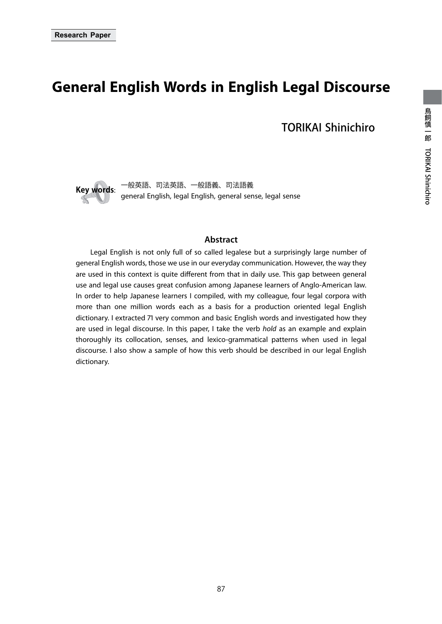# **General English Words in English Legal Discourse**

TORIKAI Shinichiro



**Key words**: 一般英語、司法英語、一般語義、司法語義 general English, legal English, general sense, legal sense

### **Abstract**

Legal English is not only full of so called legalese but a surprisingly large number of general English words, those we use in our everyday communication. However, the way they are used in this context is quite different from that in daily use. This gap between general use and legal use causes great confusion among Japanese learners of Anglo-American law. In order to help Japanese learners I compiled, with my colleague, four legal corpora with more than one million words each as a basis for a production oriented legal English dictionary. I extracted 71 very common and basic English words and investigated how they are used in legal discourse. In this paper, I take the verb *hold* as an example and explain thoroughly its collocation, senses, and lexico-grammatical patterns when used in legal discourse. I also show a sample of how this verb should be described in our legal English dictionary.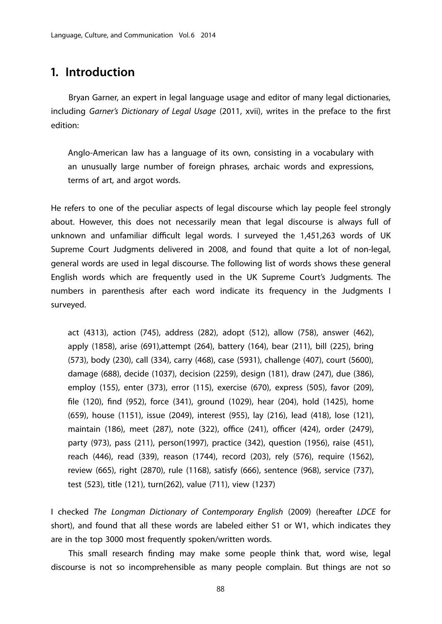# **1. Introduction**

Bryan Garner, an expert in legal language usage and editor of many legal dictionaries, including *Garner's Dictionary of Legal Usage* (2011, xvii), writes in the preface to the first edition:

Anglo-American law has a language of its own, consisting in a vocabulary with an unusually large number of foreign phrases, archaic words and expressions, terms of art, and argot words.

He refers to one of the peculiar aspects of legal discourse which lay people feel strongly about. However, this does not necessarily mean that legal discourse is always full of unknown and unfamiliar difficult legal words. I surveyed the 1,451,263 words of UK Supreme Court Judgments delivered in 2008, and found that quite a lot of non-legal, general words are used in legal discourse. The following list of words shows these general English words which are frequently used in the UK Supreme Court's Judgments. The numbers in parenthesis after each word indicate its frequency in the Judgments I surveyed.

act (4313), action (745), address (282), adopt (512), allow (758), answer (462), apply (1858), arise (691),attempt (264), battery (164), bear (211), bill (225), bring (573), body (230), call (334), carry (468), case (5931), challenge (407), court (5600), damage (688), decide (1037), decision (2259), design (181), draw (247), due (386), employ (155), enter (373), error (115), exercise (670), express (505), favor (209), file (120), find (952), force (341), ground (1029), hear (204), hold (1425), home (659), house (1151), issue (2049), interest (955), lay (216), lead (418), lose (121), maintain (186), meet (287), note (322), office (241), officer (424), order (2479), party (973), pass (211), person(1997), practice (342), question (1956), raise (451), reach (446), read (339), reason (1744), record (203), rely (576), require (1562), review (665), right (2870), rule (1168), satisfy (666), sentence (968), service (737), test (523), title (121), turn(262), value (711), view (1237)

I checked *The Longman Dictionary of Contemporary English* (2009) (hereafter *LDCE* for short), and found that all these words are labeled either S1 or W1, which indicates they are in the top 3000 most frequently spoken/written words.

This small research finding may make some people think that, word wise, legal discourse is not so incomprehensible as many people complain. But things are not so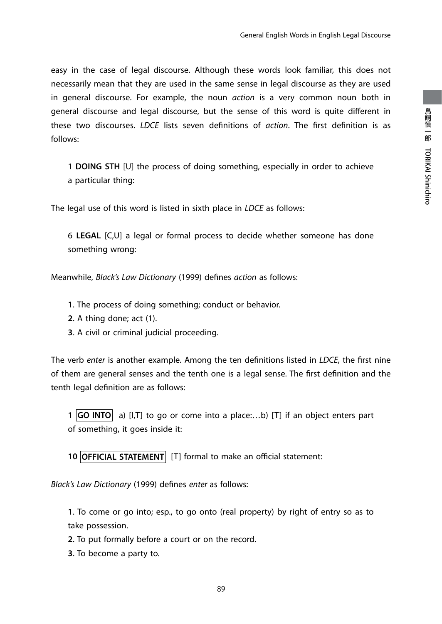easy in the case of legal discourse. Although these words look familiar, this does not necessarily mean that they are used in the same sense in legal discourse as they are used in general discourse. For example, the noun *action* is a very common noun both in general discourse and legal discourse, but the sense of this word is quite different in these two discourses. *LDCE* lists seven definitions of *action*. The first definition is as follows:

1 **DOING STH** [U] the process of doing something, especially in order to achieve a particular thing:

The legal use of this word is listed in sixth place in *LDCE* as follows:

6 **LEGAL** [C,U] a legal or formal process to decide whether someone has done something wrong:

Meanwhile, *Black's Law Dictionary* (1999) defines *action* as follows:

- **1**. The process of doing something; conduct or behavior.
- **2**. A thing done; act (1).
- **3**. A civil or criminal judicial proceeding.

The verb *enter* is another example. Among the ten definitions listed in *LDCE*, the first nine of them are general senses and the tenth one is a legal sense. The first definition and the tenth legal definition are as follows:

**1**  $|GO INTO|$  a) [I,T] to go or come into a place:...b) [T] if an object enters part of something, it goes inside it:

**10 OFFICIAL STATEMENT** [T] formal to make an official statement:

*Black's Law Dictionary* (1999) defines *enter* as follows:

**1**. To come or go into; esp., to go onto (real property) by right of entry so as to take possession.

**2**. To put formally before a court or on the record.

**3**. To become a party to.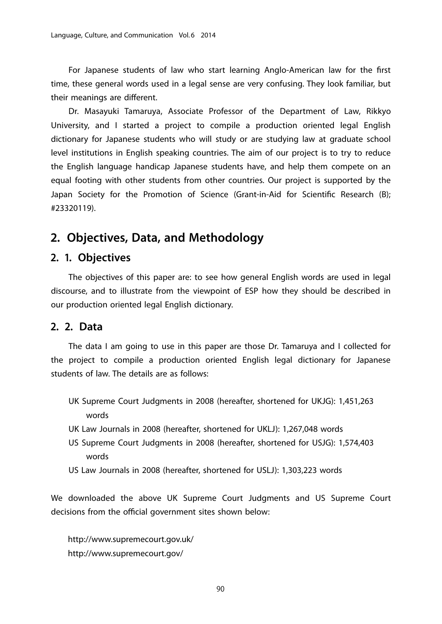For Japanese students of law who start learning Anglo-American law for the first time, these general words used in a legal sense are very confusing. They look familiar, but their meanings are different.

Dr. Masayuki Tamaruya, Associate Professor of the Department of Law, Rikkyo University, and I started a project to compile a production oriented legal English dictionary for Japanese students who will study or are studying law at graduate school level institutions in English speaking countries. The aim of our project is to try to reduce the English language handicap Japanese students have, and help them compete on an equal footing with other students from other countries. Our project is supported by the Japan Society for the Promotion of Science (Grant-in-Aid for Scientific Research (B); #23320119).

# **2. Objectives, Data, and Methodology**

# **2. 1. Objectives**

The objectives of this paper are: to see how general English words are used in legal discourse, and to illustrate from the viewpoint of ESP how they should be described in our production oriented legal English dictionary.

## **2. 2. Data**

The data I am going to use in this paper are those Dr. Tamaruya and I collected for the project to compile a production oriented English legal dictionary for Japanese students of law. The details are as follows:

- UK Supreme Court Judgments in 2008 (hereafter, shortened for UKJG): 1,451,263 words
- UK Law Journals in 2008 (hereafter, shortened for UKLJ): 1,267,048 words
- US Supreme Court Judgments in 2008 (hereafter, shortened for USJG): 1,574,403 words
- US Law Journals in 2008 (hereafter, shortened for USLJ): 1,303,223 words

We downloaded the above UK Supreme Court Judgments and US Supreme Court decisions from the official government sites shown below:

http://www.supremecourt.gov.uk/ http://www.supremecourt.gov/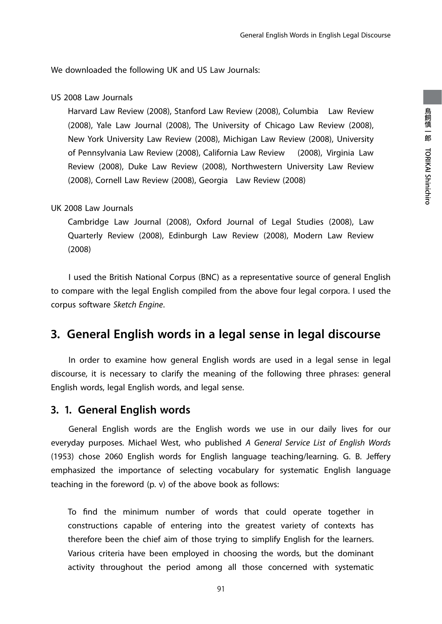We downloaded the following UK and US Law Journals:

## US 2008 Law Journals

Harvard Law Review (2008), Stanford Law Review (2008), Columbia Law Review (2008), Yale Law Journal (2008), The University of Chicago Law Review (2008), New York University Law Review (2008), Michigan Law Review (2008), University of Pennsylvania Law Review (2008), California Law Review (2008), Virginia Law Review (2008), Duke Law Review (2008), Northwestern University Law Review (2008), Cornell Law Review (2008), Georgia Law Review (2008)

## UK 2008 Law Journals

Cambridge Law Journal (2008), Oxford Journal of Legal Studies (2008), Law Quarterly Review (2008), Edinburgh Law Review (2008), Modern Law Review (2008)

I used the British National Corpus (BNC) as a representative source of general English to compare with the legal English compiled from the above four legal corpora. I used the corpus software *Sketch Engine*.

# **3. General English words in a legal sense in legal discourse**

In order to examine how general English words are used in a legal sense in legal discourse, it is necessary to clarify the meaning of the following three phrases: general English words, legal English words, and legal sense.

# **3. 1. General English words**

General English words are the English words we use in our daily lives for our everyday purposes. Michael West, who published *A General Service List of English Words*  (1953) chose 2060 English words for English language teaching/learning. G. B. Jeffery emphasized the importance of selecting vocabulary for systematic English language teaching in the foreword (p. v) of the above book as follows:

To find the minimum number of words that could operate together in constructions capable of entering into the greatest variety of contexts has therefore been the chief aim of those trying to simplify English for the learners. Various criteria have been employed in choosing the words, but the dominant activity throughout the period among all those concerned with systematic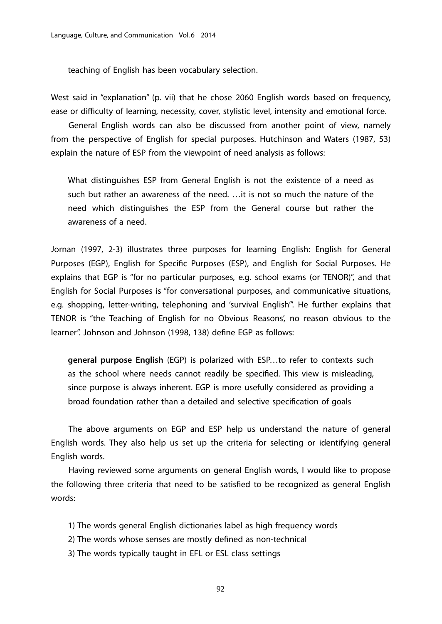teaching of English has been vocabulary selection.

West said in "explanation" (p. vii) that he chose 2060 English words based on frequency, ease or difficulty of learning, necessity, cover, stylistic level, intensity and emotional force.

General English words can also be discussed from another point of view, namely from the perspective of English for special purposes. Hutchinson and Waters (1987, 53) explain the nature of ESP from the viewpoint of need analysis as follows:

What distinguishes ESP from General English is not the existence of a need as such but rather an awareness of the need. …it is not so much the nature of the need which distinguishes the ESP from the General course but rather the awareness of a need.

Jornan (1997, 2-3) illustrates three purposes for learning English: English for General Purposes (EGP), English for Specific Purposes (ESP), and English for Social Purposes. He explains that EGP is "for no particular purposes, e.g. school exams (or TENOR)", and that English for Social Purposes is "for conversational purposes, and communicative situations, e.g. shopping, letter-writing, telephoning and 'survival English'". He further explains that TENOR is "the Teaching of English for no Obvious Reasons', no reason obvious to the learner". Johnson and Johnson (1998, 138) define EGP as follows:

**general purpose English** (EGP) is polarized with ESP…to refer to contexts such as the school where needs cannot readily be specified. This view is misleading, since purpose is always inherent. EGP is more usefully considered as providing a broad foundation rather than a detailed and selective specification of goals

The above arguments on EGP and ESP help us understand the nature of general English words. They also help us set up the criteria for selecting or identifying general English words.

Having reviewed some arguments on general English words, I would like to propose the following three criteria that need to be satisfied to be recognized as general English words:

- 1) The words general English dictionaries label as high frequency words
- 2) The words whose senses are mostly defined as non-technical
- 3) The words typically taught in EFL or ESL class settings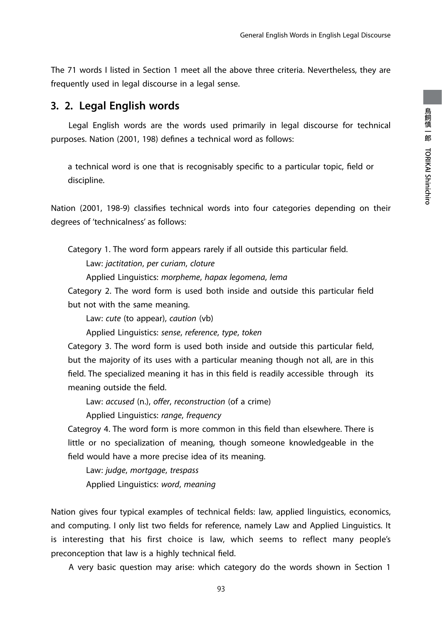The 71 words I listed in Section 1 meet all the above three criteria. Nevertheless, they are frequently used in legal discourse in a legal sense.

# **3. 2. Legal English words**

Legal English words are the words used primarily in legal discourse for technical purposes. Nation (2001, 198) defines a technical word as follows:

a technical word is one that is recognisably specific to a particular topic, field or discipline.

Nation (2001, 198-9) classifies technical words into four categories depending on their degrees of 'technicalness' as follows:

Category 1. The word form appears rarely if all outside this particular field. Law: *jactitation*, *per curiam*, *cloture*

Applied Linguistics: *morpheme*, *hapax legomena*, *lema*

Category 2. The word form is used both inside and outside this particular field but not with the same meaning.

Law: *cute* (to appear), *caution* (vb)

Applied Linguistics: *sense*, *reference*, *type*, *token*

Category 3. The word form is used both inside and outside this particular field, but the majority of its uses with a particular meaning though not all, are in this field. The specialized meaning it has in this field is readily accessible through its meaning outside the field.

Law: *accused* (n.), *offer*, *reconstruction* (of a crime)

Applied Linguistics: *range*, *frequency*

Categroy 4. The word form is more common in this field than elsewhere. There is little or no specialization of meaning, though someone knowledgeable in the field would have a more precise idea of its meaning.

Law: *judge*, *mortgage*, *trespass* Applied Linguistics: *word*, *meaning*

Nation gives four typical examples of technical fields: law, applied linguistics, economics, and computing. I only list two fields for reference, namely Law and Applied Linguistics. It is interesting that his first choice is law, which seems to reflect many people's preconception that law is a highly technical field.

A very basic question may arise: which category do the words shown in Section 1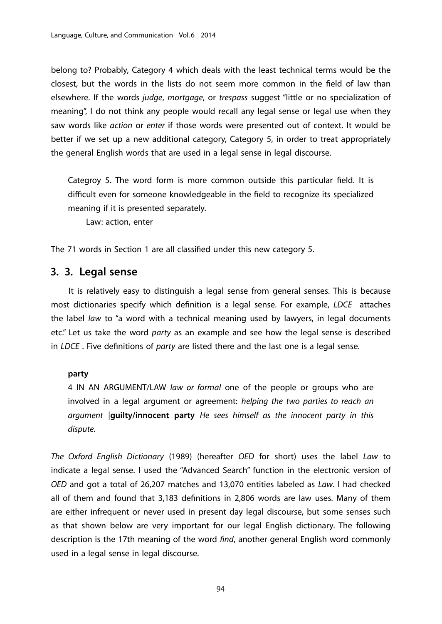belong to? Probably, Category 4 which deals with the least technical terms would be the closest, but the words in the lists do not seem more common in the field of law than elsewhere. If the words *judge*, *mortgage*, or *trespass* suggest "little or no specialization of meaning", I do not think any people would recall any legal sense or legal use when they saw words like *action* or *enter* if those words were presented out of context. It would be better if we set up a new additional category, Category 5, in order to treat appropriately the general English words that are used in a legal sense in legal discourse.

Categroy 5. The word form is more common outside this particular field. It is difficult even for someone knowledgeable in the field to recognize its specialized meaning if it is presented separately.

Law: action, enter

The 71 words in Section 1 are all classified under this new category 5.

# **3. 3. Legal sense**

It is relatively easy to distinguish a legal sense from general senses. This is because most dictionaries specify which definition is a legal sense. For example, *LDCE* attaches the label *law* to "a word with a technical meaning used by lawyers, in legal documents etc." Let us take the word *party* as an example and see how the legal sense is described in *LDCE* . Five definitions of *party* are listed there and the last one is a legal sense.

#### **party**

4 IN AN ARGUMENT/LAW *law or formal* one of the people or groups who are involved in a legal argument or agreement: *helping the two parties to reach an argument* |**guilty/innocent party** *He sees himself as the innocent party in this dispute.*

*The Oxford English Dictionary* (1989) (hereafter *OED* for short) uses the label *Law* to indicate a legal sense. I used the "Advanced Search" function in the electronic version of *OED* and got a total of 26,207 matches and 13,070 entities labeled as *Law*. I had checked all of them and found that 3,183 definitions in 2,806 words are law uses. Many of them are either infrequent or never used in present day legal discourse, but some senses such as that shown below are very important for our legal English dictionary. The following description is the 17th meaning of the word *find*, another general English word commonly used in a legal sense in legal discourse.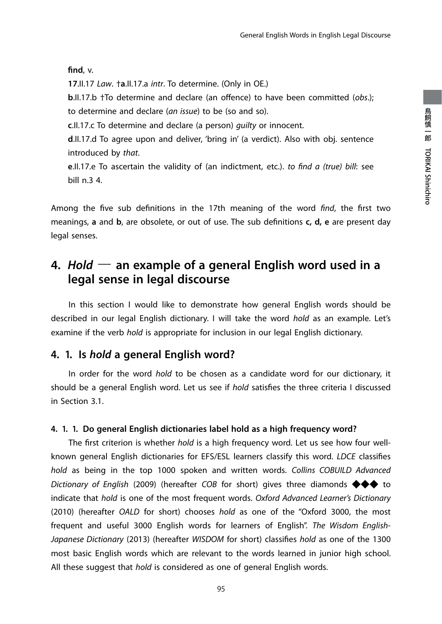#### General English Words in English Legal Discourse

**find**, v. **17**.II.17 *Law*. †**a**.II.17.a *intr*. To determine. (Only in OE.) **b**.II.17.b †To determine and declare (an offence) to have been committed (*obs*.); to determine and declare (*an issue*) to be (so and so). **c**.II.17.c To determine and declare (a person) *guilty* or innocent. **d**.II.17.d To agree upon and deliver, 'bring in' (a verdict). Also with obj. sentence introduced by *that*. **e**.II.17.e To ascertain the validity of (an indictment, etc.). *to find a (true) bill*: see bill n.3 4.

Among the five sub definitions in the 17th meaning of the word *find*, the first two meanings, **a** and **b**, are obsolete, or out of use. The sub definitions **c, d, e** are present day legal senses.

# **4.** *Hold* ― **an example of a general English word used in a legal sense in legal discourse**

In this section I would like to demonstrate how general English words should be described in our legal English dictionary. I will take the word *hold* as an example. Let's examine if the verb *hold* is appropriate for inclusion in our legal English dictionary.

## **4. 1. Is** *hold* **a general English word?**

In order for the word *hold* to be chosen as a candidate word for our dictionary, it should be a general English word. Let us see if *hold* satisfies the three criteria I discussed in Section 3.1.

## **4. 1. 1. Do general English dictionaries label hold as a high frequency word?**

The first criterion is whether *hold* is a high frequency word. Let us see how four wellknown general English dictionaries for EFS/ESL learners classify this word. *LDCE* classifies *hold* as being in the top 1000 spoken and written words. *Collins COBUILD Advanced Dictionary of English* (2009) (hereafter *COB* for short) gives three diamonds ◆◆◆ to indicate that *hold* is one of the most frequent words. *Oxford Advanced Learner's Dictionary* (2010) (hereafter *OALD* for short) chooses *hold* as one of the "Oxford 3000, the most frequent and useful 3000 English words for learners of English". *The Wisdom English-Japanese Dictionary* (2013) (hereafter *WISDOM* for short) classifies *hold* as one of the 1300 most basic English words which are relevant to the words learned in junior high school. All these suggest that *hold* is considered as one of general English words.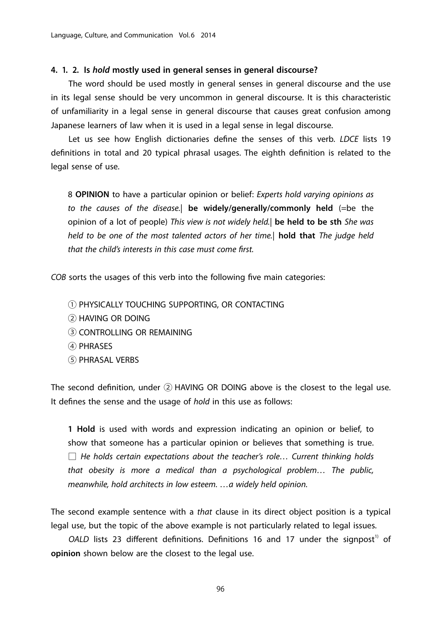#### **4. 1. 2. Is** *hold* **mostly used in general senses in general discourse?**

The word should be used mostly in general senses in general discourse and the use in its legal sense should be very uncommon in general discourse. It is this characteristic of unfamiliarity in a legal sense in general discourse that causes great confusion among Japanese learners of law when it is used in a legal sense in legal discourse.

Let us see how English dictionaries define the senses of this verb. *LDCE* lists 19 definitions in total and 20 typical phrasal usages. The eighth definition is related to the legal sense of use.

8 **OPINION** to have a particular opinion or belief: *Experts hold varying opinions as to the causes of the disease.*| **be widely/generally/commonly held** (=be the opinion of a lot of people) *This view is not widely held.*| **be held to be sth** *She was held to be one of the most talented actors of her time.*| **hold that** *The judge held that the child's interests in this case must come first.*

*COB* sorts the usages of this verb into the following five main categories:

- ① PHYSICALLY TOUCHING SUPPORTING, OR CONTACTING
- ② HAVING OR DOING
- ③ CONTROLLING OR REMAINING
- ④ PHRASES
- ⑤ PHRASAL VERBS

The second definition, under ② HAVING OR DOING above is the closest to the legal use. It defines the sense and the usage of *hold* in this use as follows:

**1 Hold** is used with words and expression indicating an opinion or belief, to show that someone has a particular opinion or believes that something is true. □ He holds certain expectations about the teacher's role... Current thinking holds *that obesity is more a medical than a psychological problem… The public, meanwhile, hold architects in low esteem. …a widely held opinion.*

The second example sentence with a *that* clause in its direct object position is a typical legal use, but the topic of the above example is not particularly related to legal issues.

*OALD* lists 23 different definitions. Definitions 16 and 17 under the signpost<sup>11</sup> of **opinion** shown below are the closest to the legal use.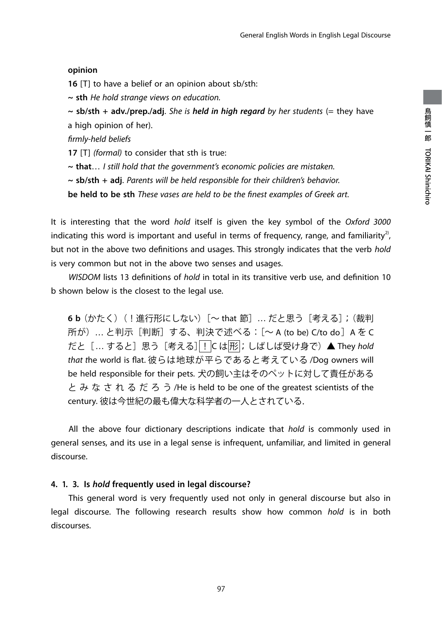#### **opinion**

**16** [T] to have a belief or an opinion about sb/sth:

**~ sth** *He hold strange views on education.*

**~ sb/sth + adv./prep./adj**. *She is held in high regard by her students* (= they have a high opinion of her).

*firmly-held beliefs*

**17** [T] *(formal)* to consider that sth is true:

**~ that**… *I still hold that the government's economic policies are mistaken.*

**~ sb/sth + adj**. *Parents will be held responsible for their children's behavior.*

**be held to be sth** *These vases are held to be the finest examples of Greek art.*

It is interesting that the word *hold* itself is given the key symbol of the *Oxford 3000*  indicating this word is important and useful in terms of frequency, range, and familiarity<sup>2</sup>, but not in the above two definitions and usages. This strongly indicates that the verb *hold* is very common but not in the above two senses and usages.

*WISDOM* lists 13 definitions of *hold* in total in its transitive verb use, and definition 10 b shown below is the closest to the legal use.

**6 b**(かたく)(!進行形にしない)[~ that 節]… だと思う[考える];(裁判 所が)… と判示[判断]する、判決で述べる:[~ A (to be) C/to do]A を C だと[… すると]思う[考える]<mark>!</mark>|C は|形|;しばしば受け身で)▲ They *hold that t*he world is flat. 彼らは地球が平らであると考えている /Dog owners will be held responsible for their pets. 犬の飼い主はそのペットに対して責任がある と み な さ れ る だ ろ う /He is held to be one of the greatest scientists of the century. 彼は今世紀の最も偉大な科学者の一人とされている.

All the above four dictionary descriptions indicate that *hold* is commonly used in general senses, and its use in a legal sense is infrequent, unfamiliar, and limited in general discourse.

### **4. 1. 3. Is** *hold* **frequently used in legal discourse?**

This general word is very frequently used not only in general discourse but also in legal discourse. The following research results show how common *hold* is in both discourses.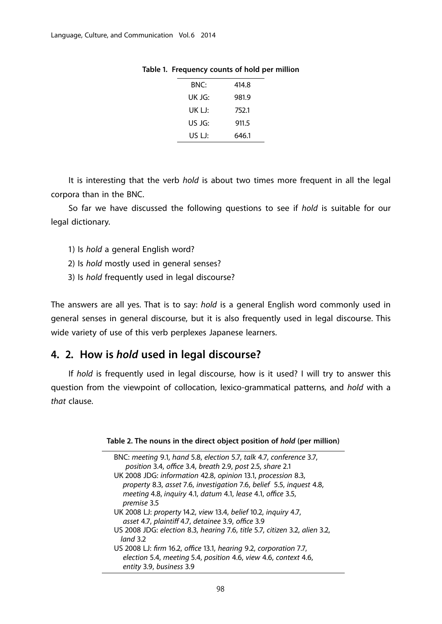| BNC:   | 414.8 |  |
|--------|-------|--|
| UK JG: | 981.9 |  |
| UK LJ: | 752.1 |  |
| US JG: | 911.5 |  |
| US LJ: | 646.1 |  |

#### **Table 1. Frequency counts of hold per million**

It is interesting that the verb *hold* is about two times more frequent in all the legal corpora than in the BNC.

So far we have discussed the following questions to see if *hold* is suitable for our legal dictionary.

- 1) Is *hold* a general English word?
- 2) Is *hold* mostly used in general senses?
- 3) Is *hold* frequently used in legal discourse?

The answers are all yes. That is to say: *hold* is a general English word commonly used in general senses in general discourse, but it is also frequently used in legal discourse. This wide variety of use of this verb perplexes Japanese learners.

# **4. 2. How is** *hold* **used in legal discourse?**

If *hold* is frequently used in legal discourse, how is it used? I will try to answer this question from the viewpoint of collocation, lexico-grammatical patterns, and *hold* with a *that* clause.

**Table 2. The nouns in the direct object position of** *hold* **(per million)**

| BNC: meeting 9.1, hand 5.8, election 5.7, talk 4.7, conference 3.7,        |
|----------------------------------------------------------------------------|
| position 3.4, office 3.4, breath 2.9, post 2.5, share 2.1                  |
| UK 2008 JDG: information 42.8, opinion 13.1, procession 8.3,               |
| property 8.3, asset 7.6, investigation 7.6, belief 5.5, inquest 4.8,       |
| meeting 4.8, inquiry 4.1, datum 4.1, lease 4.1, office 3.5,                |
| premise 3.5                                                                |
| UK 2008 LJ: property 14.2, view 13.4, belief 10.2, inquiry 4.7,            |
| asset 4.7, plaintiff 4.7, detainee 3.9, office 3.9                         |
| US 2008 JDG: election 8.3, hearing 7.6, title 5.7, citizen 3.2, alien 3.2, |
| land 3.2                                                                   |
| US 2008 LJ: firm 16.2, office 13.1, hearing 9.2, corporation 7.7,          |
| election 5.4, meeting 5.4, position 4.6, view 4.6, context 4.6,            |
| entity 3.9, business 3.9                                                   |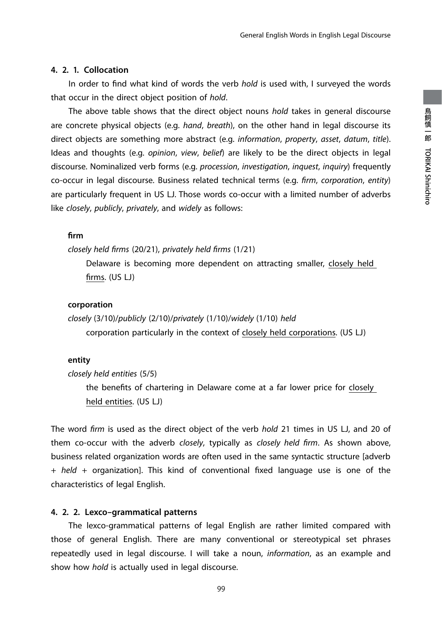## **4. 2. 1. Collocation**

In order to find what kind of words the verb *hold* is used with, I surveyed the words that occur in the direct object position of *hold*.

The above table shows that the direct object nouns *hold* takes in general discourse are concrete physical objects (e.g. *hand*, *breath*), on the other hand in legal discourse its direct objects are something more abstract (e.g. *information*, *property*, *asset*, *datum*, *title*). Ideas and thoughts (e.g. *opinion*, *view*, *belief*) are likely to be the direct objects in legal discourse. Nominalized verb forms (e.g. *procession*, *investigation*, *inquest*, *inquiry*) frequently co-occur in legal discourse. Business related technical terms (e.g. *firm*, *corporation*, *entity*) are particularly frequent in US LJ. Those words co-occur with a limited number of adverbs like *closely*, *publicly*, *privately*, and *widely* as follows:

### **firm**

*closely held firms* (20/21), *privately held firms* (1/21)

 Delaware is becoming more dependent on attracting smaller, closely held firms. (US LJ)

## **corporation**

*closely* (3/10)/*publicly* (2/10)/*privately* (1/10)/*widely* (1/10) *held* corporation particularly in the context of closely held corporations. (US LJ)

#### **entity**

#### *closely held entities* (5/5)

 the benefits of chartering in Delaware come at a far lower price for closely held entities. (US LJ)

The word *firm* is used as the direct object of the verb *hold* 21 times in US LJ, and 20 of them co-occur with the adverb *closely*, typically as *closely held firm*. As shown above, business related organization words are often used in the same syntactic structure [adverb + *held* + organization]. This kind of conventional fixed language use is one of the characteristics of legal English.

#### **4. 2. 2. Lexco-grammatical patterns**

The lexco-grammatical patterns of legal English are rather limited compared with those of general English. There are many conventional or stereotypical set phrases repeatedly used in legal discourse. I will take a noun, *information*, as an example and show how *hold* is actually used in legal discourse.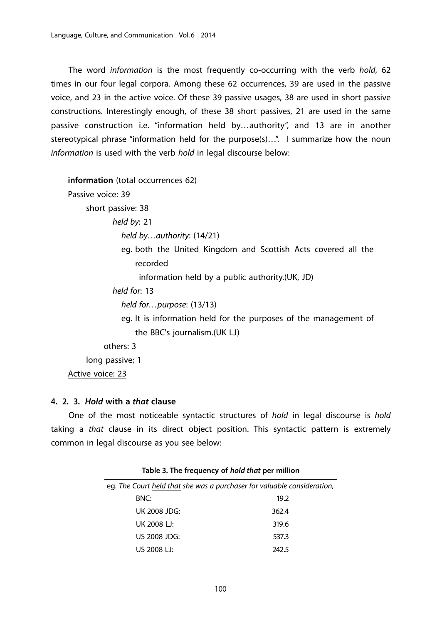The word *information* is the most frequently co-occurring with the verb *hold*, 62 times in our four legal corpora. Among these 62 occurrences, 39 are used in the passive voice, and 23 in the active voice. Of these 39 passive usages, 38 are used in short passive constructions. Interestingly enough, of these 38 short passives, 21 are used in the same passive construction i.e. "information held by…authority", and 13 are in another stereotypical phrase "information held for the purpose(s)…". I summarize how the noun *information* is used with the verb *hold* in legal discourse below:

**information** (total occurrences 62)

Passive voice: 39 short passive: 38 *held by*: 21  *held by…authority*: (14/21) eg. both the United Kingdom and Scottish Acts covered all the recorded information held by a public authority.(UK, JD) *held for*: 13 *held for…purpose*: (13/13) eg. It is information held for the purposes of the management of the BBC's journalism.(UK LJ) others: 3 long passive; 1 Active voice: 23

#### **4. 2. 3.** *Hold* **with a** *that* **clause**

One of the most noticeable syntactic structures of *hold* in legal discourse is *hold* taking a *that* clause in its direct object position. This syntactic pattern is extremely common in legal discourse as you see below:

| Table 3. The frequency of hold that per million                         |       |  |  |  |
|-------------------------------------------------------------------------|-------|--|--|--|
| eq. The Court held that she was a purchaser for valuable consideration, |       |  |  |  |
| BNC:                                                                    | 19.2  |  |  |  |
| UK 2008 JDG:                                                            | 362.4 |  |  |  |
| UK 2008 L E                                                             | 319.6 |  |  |  |
| US 2008 JDG:                                                            | 537.3 |  |  |  |
| US 2008 LJ:                                                             | 242.5 |  |  |  |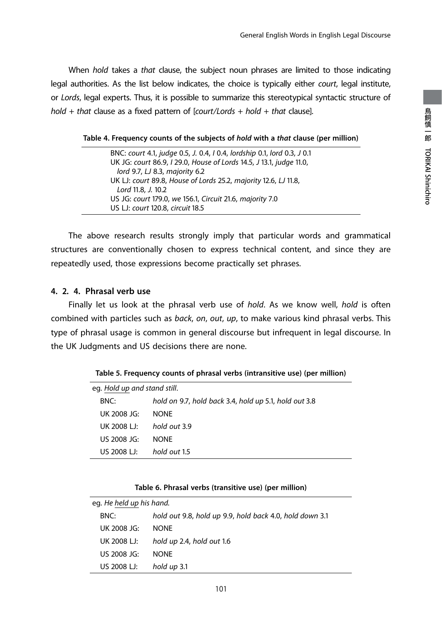When *hold* takes a *that* clause, the subject noun phrases are limited to those indicating legal authorities. As the list below indicates, the choice is typically either *court*, legal institute, or *Lords*, legal experts. Thus, it is possible to summarize this stereotypical syntactic structure of *hold* + *that* clause as a fixed pattern of [*court/Lords* + *hold* + *that* clause].

**Table 4. Frequency counts of the subjects of** *hold* **with a** *that* **clause (per million)**

| BNC: court 4.1, judge 0.5, J. 0.4, I 0.4, lordship 0.1, lord 0.3, J 0.1 |
|-------------------------------------------------------------------------|
| UK JG: court 86.9, I 29.0, House of Lords 14.5, J 13.1, judge 11.0,     |
| lord 9.7, LJ 8.3, majority 6.2                                          |
| UK LJ: court 89.8, House of Lords 25.2, majority 12.6, LJ 11.8,         |
| Lord 11.8, J. 10.2                                                      |
| US JG: court 179.0, we 156.1, Circuit 21.6, majority 7.0                |
| US LJ: court 120.8, circuit 18.5                                        |
|                                                                         |

The above research results strongly imply that particular words and grammatical structures are conventionally chosen to express technical content, and since they are repeatedly used, those expressions become practically set phrases.

## **4. 2. 4. Phrasal verb use**

Finally let us look at the phrasal verb use of *hold*. As we know well, *hold* is often combined with particles such as *back*, *on*, *out*, *up*, to make various kind phrasal verbs. This type of phrasal usage is common in general discourse but infrequent in legal discourse. In the UK Judgments and US decisions there are none.

| eg. Hold up and stand still. |                                                       |  |  |  |
|------------------------------|-------------------------------------------------------|--|--|--|
| BNC:                         | hold on 9.7, hold back 3.4, hold up 5.1, hold out 3.8 |  |  |  |
| UK 2008 JG:                  | <b>NONF</b>                                           |  |  |  |
| UK 2008 L E                  | hold out 3.9                                          |  |  |  |
| US 2008 JG:                  | <b>NONF</b>                                           |  |  |  |
| US 200811:                   | hold out 1.5                                          |  |  |  |

**Table 5. Frequency counts of phrasal verbs (intransitive use) (per million)**

| Table 6. Phrasal verbs (transitive use) (per million) |  |
|-------------------------------------------------------|--|
|-------------------------------------------------------|--|

| eg. He held up his hand. |                                                         |  |  |  |
|--------------------------|---------------------------------------------------------|--|--|--|
| BNC:                     | hold out 9.8, hold up 9.9, hold back 4.0, hold down 3.1 |  |  |  |
| UK 2008 $IG:$            | <b>NONF</b>                                             |  |  |  |
| UK 2008 LJ:              | hold up 2.4, hold out 1.6                               |  |  |  |
| $US 2008$ IG:            | <b>NONF</b>                                             |  |  |  |
| US 2008 LJ:              | hold up 3.1                                             |  |  |  |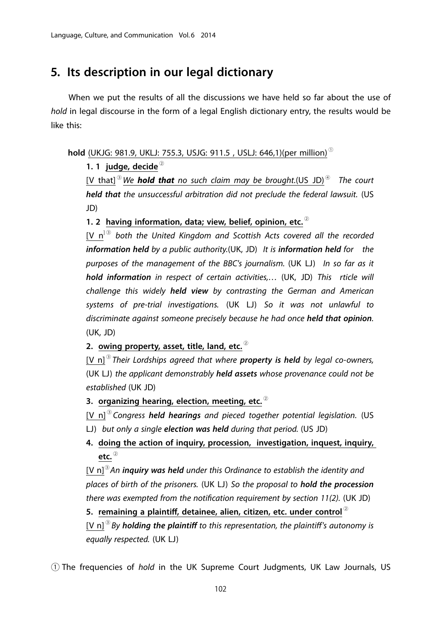# **5. Its description in our legal dictionary**

When we put the results of all the discussions we have held so far about the use of *hold* in legal discourse in the form of a legal English dictionary entry, the results would be like this:

**hold** (UKJG: 981.9, UKLJ: 755.3, USJG: 911.5 , USLJ: 646,1)(per million) <sup>①</sup>

**1. 1 judge, decide** <sup>②</sup>

 [V that] <sup>③</sup> *We hold that no such claim may be brought.*(US JD) <sup>④</sup> *The court held that the unsuccessful arbitration did not preclude the federal lawsuit.* (US JD)

**1. 2 having information, data; view, belief, opinion, etc.** <sup>②</sup>

[V n<sup>] 3</sup> both the United Kingdom and Scottish Acts covered all the recorded *information held by a public authority.*(UK, JD) *It is information held for the purposes of the management of the BBC's journalism.* (UK LJ) *In so far as it hold information in respect of certain activities,…* (UK, JD) *This rticle will challenge this widely held view by contrasting the German and American systems of pre-trial investigations.* (UK LJ) *So it was not unlawful to discriminate against someone precisely because he had once held that opinion.* (UK, JD)

**2. owing property, asset, title, land, etc.** <sup>②</sup>

 [V n] <sup>③</sup> *Their Lordships agreed that where property is held by legal co-owners,* (UK LJ) *the applicant demonstrably held assets whose provenance could not be established* (UK JD)

**3. organizing hearing, election, meeting, etc.** <sup>②</sup>

[V n] <sup>③</sup> *Congress held hearings and pieced together potential legislation.* (US

- LJ) *but only a single election was held during that period.* (US JD)
- **4. doing the action of inquiry, procession, investigation, inquest, inquiry, etc.** <sup>②</sup>

 [V n]<sup>③</sup>*An inquiry was held under this Ordinance to establish the identity and places of birth of the prisoners.* (UK LJ) *So the proposal to hold the procession there was exempted from the notification requirement by section 11(2).* (UK JD)

**5. remaining a plaintiff, detainee, alien, citizen, etc. under control** <sup>②</sup> [V n] <sup>③</sup> *By holding the plaintiff to this representation, the plaintiff's autonomy is equally respected.* (UK LJ)

① The frequencies of *hold* in the UK Supreme Court Judgments, UK Law Journals, US